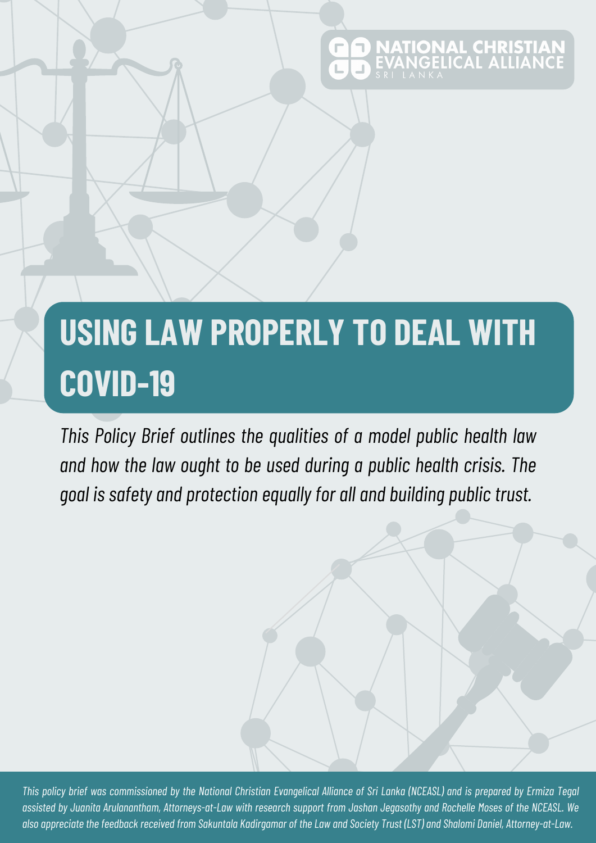# **NATIONAL CHRIST**<br>EVANGELICAL ALLIAI

# **USING LAW PROPERLY TO DEAL WITH COVID-19**

*This Policy Brief outlines the qualities of a model public health law and how the law ought to be used during a public health crisis. The goal is safety and protection equally for all and building publictrust.*

This policy brief was commissioned by the National Christian Evangelical Alliance of Sri Lanka (NCEASL) and is prepared by Ermiza Tegal assisted by Juanita Arulanantham, Attorneys-at-Law with research support from Jashan Jegasothy and Rochelle Moses of the NCEASL. We also appreciate the feedback received from Sakuntala Kadirgamar of the Law and Society Trust (LST) and Shalomi Daniel, Attorney-at-Law.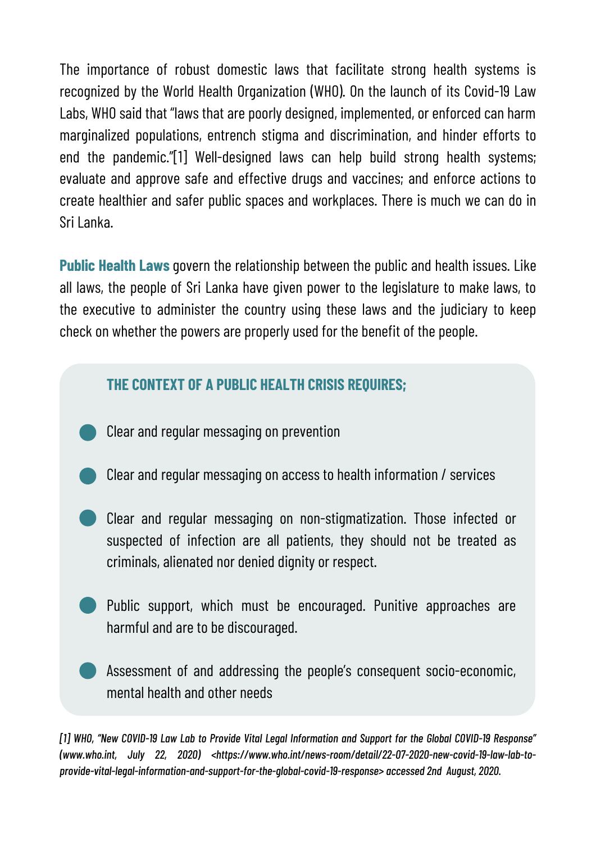The importance of robust domestic laws that facilitate strong health systems is recognized by the World Health Organization (WHO). On the launch of its Covid-19 Law Labs, WHO said that "laws that are poorly designed, implemented, or enforced can harm marginalized populations, entrench stigma and discrimination, and hinder efforts to end the pandemic."[1] Well-designed laws can help build strong health systems; evaluate and approve safe and effective drugs and vaccines; and enforce actions to create healthier and safer public spaces and workplaces. There is much we can do in Sri Lanka.

**Public Health Laws** govern the relationship between the public and health issues. Like all laws, the people of Sri Lanka have given power to the legislature to make laws, to the executive to administer the country using these laws and the judiciary to keep check on whether the powers are properly used for the benefit of the people.

#### **THE CONTEXT OF A PUBLIC HEALTH CRISIS REQUIRES;**

- Clear and regular messaging on prevention
- Clear and regular messaging on access to health information / services
- Clear and regular messaging on non-stigmatization. Those infected or suspected of infection are all patients, they should not be treated as criminals, alienated nor denied dignity or respect.
- Public support, which must be encouraged. Punitive approaches are harmful and are to be discouraged.
- Assessment of and addressing the people's consequent socio-economic, mental health and other needs

[1] WHO, "New COVID-19 Law Lab to Provide Vital Legal Information and Support for the Global COVID-19 Response" *(www.who.int, July 22, 2020) <https://www.who.int/news-room/detail/22-07-2020-new-covid-19-law-lab-toprovide-vital-legal-information-and-support-for-the-global-covid-19-response> accessed 2nd August, 2020.*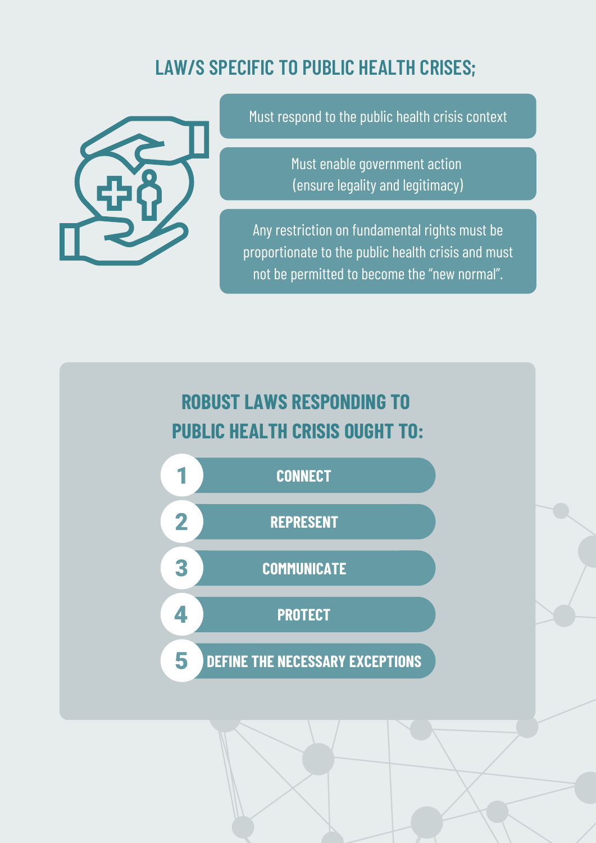#### **LAW/S SPECIFIC TO PUBLIC HEALTH CRISES;**



Must respond to the public health crisis context

Must enable government action (ensure legality and legitimacy)

Any restriction on fundamental rights must be proportionate to the public health crisis and must not be permitted to become the "new normal".

#### **ROBUST LAWS RESPONDING TO PUBLIC HEALTH CRISIS OUGHT TO:**

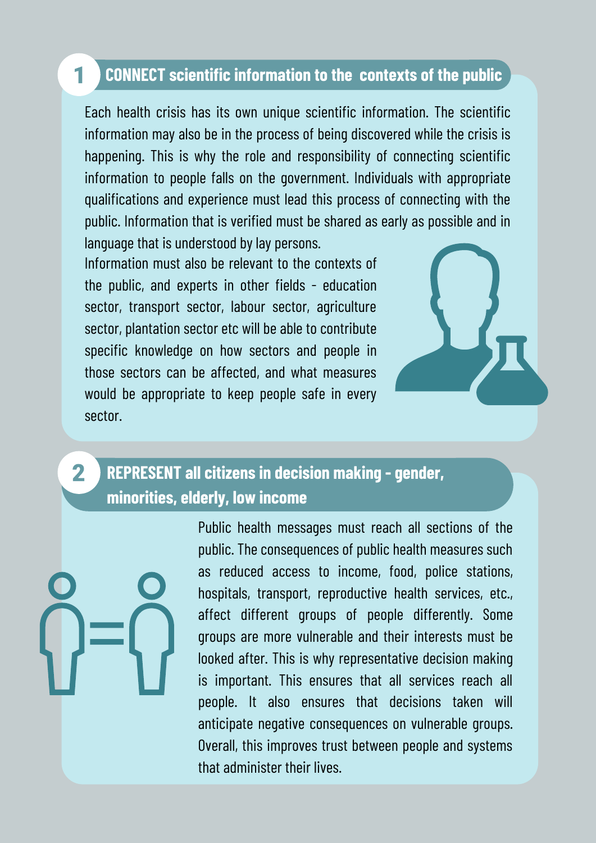#### **CONNECT scientific information to the contexts of the public**

Each health crisis has its own unique scientific information. The scientific information may also be in the process of being discovered while the crisis is happening. This is why the role and responsibility of connecting scientific information to people falls on the government. Individuals with appropriate qualifications and experience must lead this process of connecting with the public. Information that is verified must be shared as early as possible and in language that is understood by lay persons.

Information must also be relevant to the contexts of the public, and experts in other fields - education sector, transport sector, labour sector, agriculture sector, plantation sector etc will be able to contribute specific knowledge on how sectors and people in those sectors can be affected, and what measures would be appropriate to keep people safe in every sector.



#### **REPRESENT all citizens in decision making - gender, minorities, elderly, low income**

 $\mathbf{2}$ 

1

Public health messages must reach all sections of the public. The consequences of public health measures such as reduced access to income, food, police stations, hospitals, transport, reproductive health services, etc., affect different groups of people differently. Some groups are more vulnerable and their interests must be looked after. This is why representative decision making is important. This ensures that all services reach all people. It also ensures that decisions taken will anticipate negative consequences on vulnerable groups. Overall, this improves trust between people and systems that administer their lives.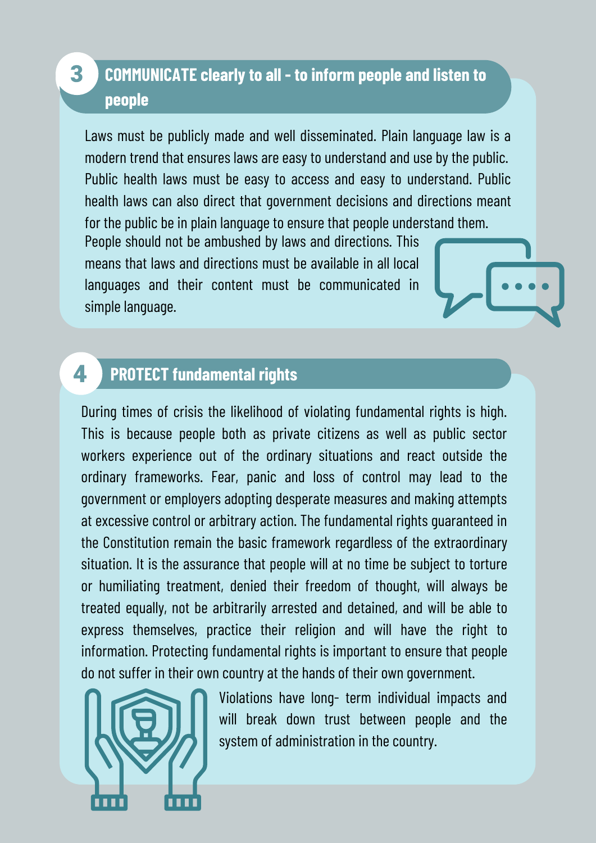#### **COMMUNICATE clearly to all - to inform people and listen to people**

Laws must be publicly made and well disseminated. Plain language law is a modern trend that ensures laws are easy to understand and use by the public. Public health laws must be easy to access and easy to understand. Public health laws can also direct that government decisions and directions meant for the public be in plain language to ensure that people understand them.

People should not be ambushed by laws and directions. This means that laws and directions must be available in all local languages and their content must be communicated in simple language.

#### 4 **PROTECT fundamental rights**

3

During times of crisis the likelihood of violating fundamental rights is high. This is because people both as private citizens as well as public sector workers experience out of the ordinary situations and react outside the ordinary frameworks. Fear, panic and loss of control may lead to the government or employers adopting desperate measures and making attempts at excessive control or arbitrary action. The fundamental rights guaranteed in the Constitution remain the basic framework regardless of the extraordinary situation. It is the assurance that people will at no time be subject to torture or humiliating treatment, denied their freedom of thought, will always be treated equally, not be arbitrarily arrested and detained, and will be able to express themselves, practice their religion and will have the right to information. Protecting fundamental rights is important to ensure that people do not suffer in their own country at the hands of their own government.



Violations have long- term individual impacts and will break down trust between people and the system of administration in the country.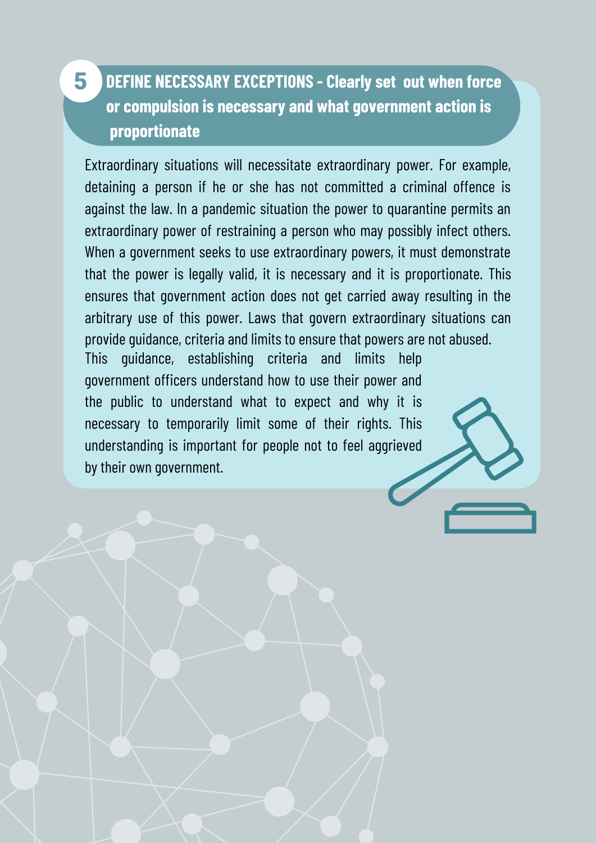#### **DEFINE NECESSARY EXCEPTIONS - Clearly set out when force or compulsion is necessary and what government action is proportionate**

5

Extraordinary situations will necessitate extraordinary power. For example, detaining a person if he or she has not committed a criminal offence is against the law. In a pandemic situation the power to quarantine permits an extraordinary power of restraining a person who may possibly infect others. When a government seeks to use extraordinary powers, it must demonstrate that the power is legally valid, it is necessary and it is proportionate. This ensures that government action does not get carried away resulting in the arbitrary use of this power. Laws that govern extraordinary situations can provide guidance, criteria and limits to ensure that powers are not abused.

This guidance, establishing criteria and limits help government officers understand how to use their power and the public to understand what to expect and why it is necessary to temporarily limit some of their rights. This understanding is important for people not to feel aggrieved by their own government.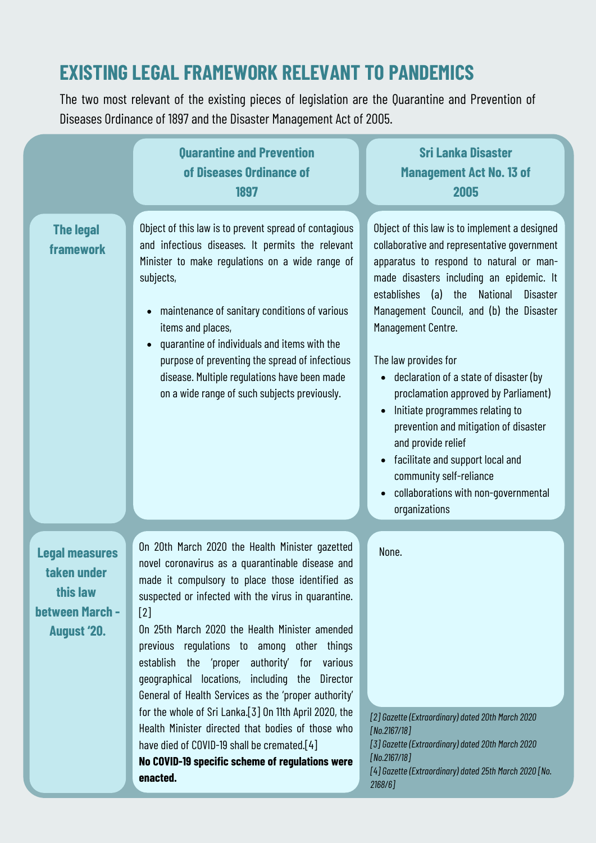#### **EXISTING LEGAL FRAMEWORK RELEVANT TO PANDEMICS**

The two most relevant of the existing pieces of legislation are the Quarantine and Prevention of Diseases Ordinance of 1897 and the Disaster Management Act of 2005.

|                                                                                           | <b>Quarantine and Prevention</b><br>of Diseases Ordinance of<br>1897                                                                                                                                                                                                                                                                                                                                                                                                                                                                                                                                                                                                                                          | <b>Sri Lanka Disaster</b><br><b>Management Act No. 13 of</b><br>2005                                                                                                                                                                                                                                                                                                                                                                                                                                                                                                                                                                                                                                      |
|-------------------------------------------------------------------------------------------|---------------------------------------------------------------------------------------------------------------------------------------------------------------------------------------------------------------------------------------------------------------------------------------------------------------------------------------------------------------------------------------------------------------------------------------------------------------------------------------------------------------------------------------------------------------------------------------------------------------------------------------------------------------------------------------------------------------|-----------------------------------------------------------------------------------------------------------------------------------------------------------------------------------------------------------------------------------------------------------------------------------------------------------------------------------------------------------------------------------------------------------------------------------------------------------------------------------------------------------------------------------------------------------------------------------------------------------------------------------------------------------------------------------------------------------|
| <b>The legal</b><br>framework                                                             | Object of this law is to prevent spread of contagious<br>and infectious diseases. It permits the relevant<br>Minister to make regulations on a wide range of<br>subjects,<br>maintenance of sanitary conditions of various<br>$\bullet$<br>items and places,<br>quarantine of individuals and items with the<br>$\bullet$<br>purpose of preventing the spread of infectious<br>disease. Multiple regulations have been made<br>on a wide range of such subjects previously.                                                                                                                                                                                                                                   | Object of this law is to implement a designed<br>collaborative and representative government<br>apparatus to respond to natural or man-<br>made disasters including an epidemic. It<br>establishes<br>(a)<br>the<br>National<br><b>Disaster</b><br>Management Council, and (b) the Disaster<br>Management Centre.<br>The law provides for<br>declaration of a state of disaster (by<br>$\bullet$<br>proclamation approved by Parliament)<br>Initiate programmes relating to<br>$\bullet$<br>prevention and mitigation of disaster<br>and provide relief<br>facilitate and support local and<br>$\bullet$<br>community self-reliance<br>collaborations with non-governmental<br>$\bullet$<br>organizations |
| <b>Legal measures</b><br>taken under<br>this law<br>between March -<br><b>August '20.</b> | On 20th March 2020 the Health Minister gazetted<br>novel coronavirus as a quarantinable disease and<br>made it compulsory to place those identified as<br>suspected or infected with the virus in quarantine.<br>$[2]$<br>On 25th March 2020 the Health Minister amended<br>previous regulations to among other things<br>establish the 'proper authority' for various<br>geographical locations, including the Director<br>General of Health Services as the 'proper authority'<br>for the whole of Sri Lanka.[3] On 11th April 2020, the<br>Health Minister directed that bodies of those who<br>have died of COVID-19 shall be cremated.[4]<br>No COVID-19 specific scheme of regulations were<br>enacted. | None.<br>[2] Gazette (Extraordinary) dated 20th March 2020<br>[No.2167/18]<br>[3] Gazette (Extraordinary) dated 20th March 2020<br>[No.2167/18]<br>[4] Gazette (Extraordinary) dated 25th March 2020 [No.<br>$2168/6$ ]                                                                                                                                                                                                                                                                                                                                                                                                                                                                                   |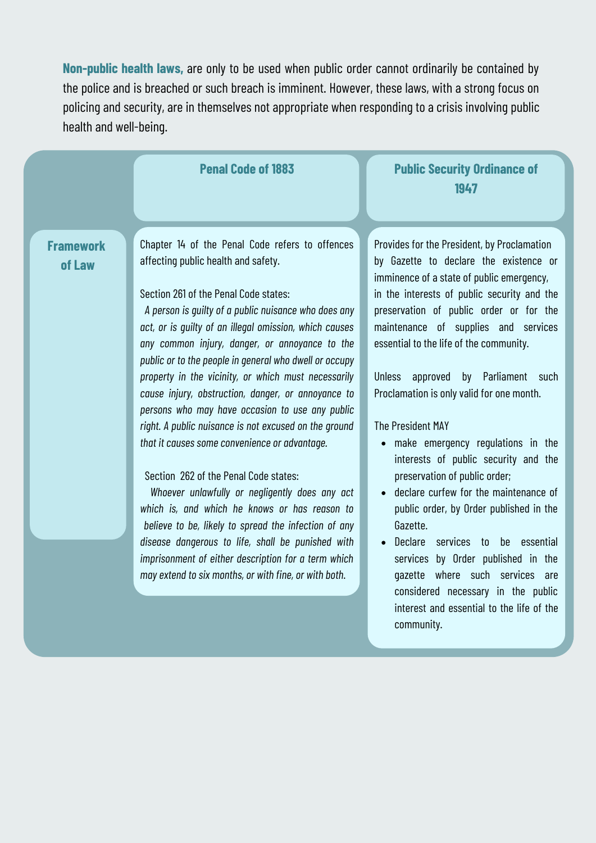**Non-public health laws,** are only to be used when public order cannot ordinarily be contained by the police and is breached or such breach is imminent. However, these laws, with a strong focus on policing and security, are in themselves not appropriate when responding to a crisis involving public health and well-being.

| <b>Framework</b><br>Provides for the President, by Proclamation<br>Chapter 14 of the Penal Code refers to offences<br>affecting public health and safety.<br>by Gazette to declare the existence or<br>of Law<br>imminence of a state of public emergency,<br>Section 261 of the Penal Code states:<br>in the interests of public security and the<br>A person is quilty of a public nuisance who does any<br>preservation of public order or for the<br>act, or is quilty of an illegal omission, which causes<br>maintenance of supplies and services<br>essential to the life of the community.<br>any common injury, danger, or annoyance to the<br>public or to the people in general who dwell or occupy<br>property in the vicinity, or which must necessarily<br>approved by<br>Parliament such<br><b>Unless</b><br>Proclamation is only valid for one month.<br>cause injury, obstruction, danger, or annoyance to<br>persons who may have occasion to use any public<br>right. A public nuisance is not excused on the ground<br>The President MAY<br>that it causes some convenience or advantage.<br>make emergency regulations in the<br>$\bullet$<br>interests of public security and the<br>Section 262 of the Penal Code states:<br>preservation of public order; |
|-----------------------------------------------------------------------------------------------------------------------------------------------------------------------------------------------------------------------------------------------------------------------------------------------------------------------------------------------------------------------------------------------------------------------------------------------------------------------------------------------------------------------------------------------------------------------------------------------------------------------------------------------------------------------------------------------------------------------------------------------------------------------------------------------------------------------------------------------------------------------------------------------------------------------------------------------------------------------------------------------------------------------------------------------------------------------------------------------------------------------------------------------------------------------------------------------------------------------------------------------------------------------------------|
| declare curfew for the maintenance of<br>Whoever unlawfully or negligently does any act<br>which is, and which he knows or has reason to<br>public order, by Order published in the<br>believe to be, likely to spread the infection of any<br>Gazette.<br>disease dangerous to life, shall be punished with<br>Declare<br>services to be<br>essential<br>imprisonment of either description for a term which<br>services by Order published in the<br>may extend to six months, or with fine, or with both.<br>gazette where such services are<br>considered necessary in the public<br>interest and essential to the life of the<br>community.                                                                                                                                                                                                                                                                                                                                                                                                                                                                                                                                                                                                                                  |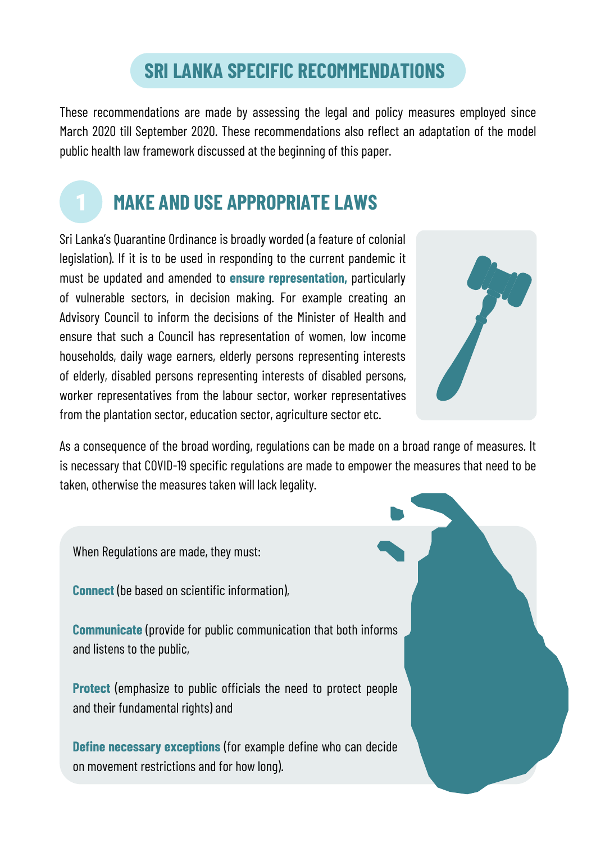#### **SRI LANKA SPECIFIC RECOMMENDATIONS**

These recommendations are made by assessing the legal and policy measures employed since March 2020 till September 2020. These recommendations also reflect an adaptation of the model public health law framework discussed at the beginning of this paper.



Sri Lanka's Quarantine Ordinance is broadly worded (a feature of colonial legislation). If it is to be used in responding to the current pandemic it must be updated and amended to **ensure representation,** particularly of vulnerable sectors, in decision making. For example creating an Advisory Council to inform the decisions of the Minister of Health and ensure that such a Council has representation of women, low income households, daily wage earners, elderly persons representing interests of elderly, disabled persons representing interests of disabled persons, worker representatives from the labour sector, worker representatives from the plantation sector, education sector, agriculture sector etc.



As a consequence of the broad wording, regulations can be made on a broad range of measures. It is necessary that COVID-19 specific regulations are made to empower the measures that need to be taken, otherwise the measures taken will lack legality.

When Regulations are made, they must:

**Connect** (be based on scientific information),

**Communicate** (provide for public communication that both informs and listens to the public,

**Protect** (emphasize to public officials the need to protect people and their fundamental rights) and

**Define necessary exceptions** (for example define who can decide on movement restrictions and for how long).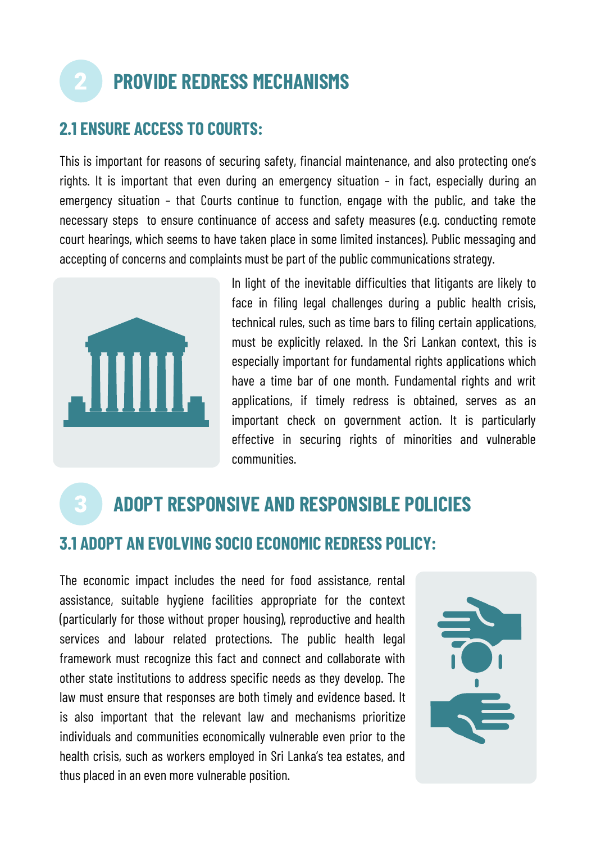### **PROVIDE REDRESS MECHANISMS**

#### **2.1 ENSURE ACCESS TO COURTS:**

This is important for reasons of securing safety, financial maintenance, and also protecting one's rights. It is important that even during an emergency situation – in fact, especially during an emergency situation – that Courts continue to function, engage with the public, and take the necessary steps to ensure continuance of access and safety measures (e.g. conducting remote court hearings, which seems to have taken place in some limited instances). Public messaging and accepting of concerns and complaints must be part of the public communications strategy.



In light of the inevitable difficulties that litigants are likely to face in filing legal challenges during a public health crisis, technical rules, such as time bars to filing certain applications, must be explicitly relaxed. In the Sri Lankan context, this is especially important for fundamental rights applications which have a time bar of one month. Fundamental rights and writ applications, if timely redress is obtained, serves as an important check on government action. It is particularly effective in securing rights of minorities and vulnerable communities.

### **ADOPT RESPONSIVE AND RESPONSIBLE POLICIES**

#### **3.1 ADOPT AN EVOLVING SOCIO ECONOMIC REDRESS POLICY:**

The economic impact includes the need for food assistance, rental assistance, suitable hygiene facilities appropriate for the context (particularly for those without proper housing), reproductive and health services and labour related protections. The public health legal framework must recognize this fact and connect and collaborate with other state institutions to address specific needs as they develop. The law must ensure that responses are both timely and evidence based. It is also important that the relevant law and mechanisms prioritize individuals and communities economically vulnerable even prior to the health crisis, such as workers employed in Sri Lanka's tea estates, and thus placed in an even more vulnerable position.

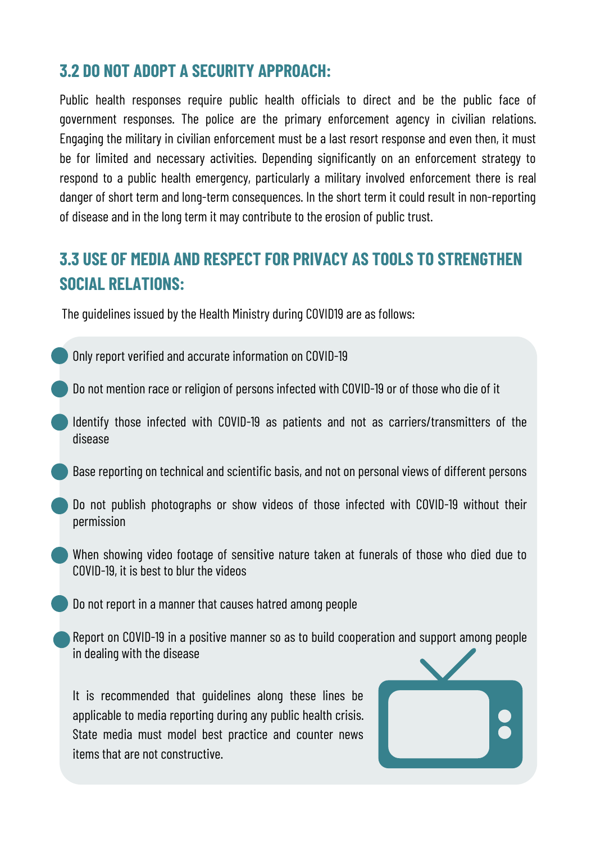#### **3.2 DO NOT ADOPT A SECURITY APPROACH:**

Public health responses require public health officials to direct and be the public face of government responses. The police are the primary enforcement agency in civilian relations. Engaging the military in civilian enforcement must be a last resort response and even then, it must be for limited and necessary activities. Depending significantly on an enforcement strategy to respond to a public health emergency, particularly a military involved enforcement there is real danger of short term and long-term consequences. In the short term it could result in non-reporting of disease and in the long term it may contribute to the erosion of public trust.

#### **3.3 USE OF MEDIA AND RESPECT FOR PRIVACY AS TOOLS TO STRENGTHEN SOCIAL RELATIONS:**

The guidelines issued by the Health Ministry during COVID19 are as follows:

- Only report verified and accurate information on COVID-19
- Do not mention race or religion of persons infected with COVID-19 or of those who die of it
- Identify those infected with COVID-19 as patients and not as carriers/transmitters of the disease
- Base reporting on technical and scientific basis, and not on personal views of different persons
- Do not publish photographs or show videos of those infected with COVID-19 without their permission
- When showing video footage of sensitive nature taken at funerals of those who died due to COVID-19, it is best to blur the videos
	- Do not report in a manner that causes hatred among people
- Report on COVID-19 in a positive manner so as to build cooperation and support among people in dealing with the disease

It is recommended that guidelines along these lines be applicable to media reporting during any public health crisis. State media must model best practice and counter news items that are not constructive.

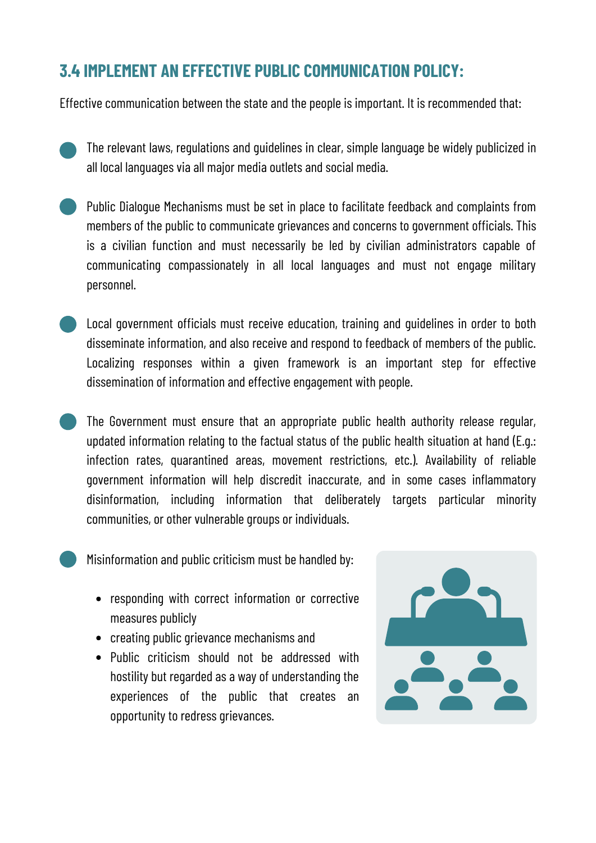#### **3.4 IMPLEMENT AN EFFECTIVE PUBLIC COMMUNICATION POLICY:**

Effective communication between the state and the people is important. It is recommended that:

- The relevant laws, regulations and guidelines in clear, simple language be widely publicized in all local languages via all major media outlets and social media.
- Public Dialogue Mechanisms must be set in place to facilitate feedback and complaints from members of the public to communicate grievances and concerns to government officials. This is a civilian function and must necessarily be led by civilian administrators capable of communicating compassionately in all local languages and must not engage military personnel.
- Local government officials must receive education, training and guidelines in order to both disseminate information, and also receive and respond to feedback of members of the public. Localizing responses within a given framework is an important step for effective dissemination of information and effective engagement with people.
	- The Government must ensure that an appropriate public health authority release regular, updated information relating to the factual status of the public health situation at hand (E.g.: infection rates, quarantined areas, movement restrictions, etc.). Availability of reliable government information will help discredit inaccurate, and in some cases inflammatory disinformation, including information that deliberately targets particular minority communities, or other vulnerable groups or individuals.
- 

Misinformation and public criticism must be handled by:

- responding with correct information or corrective measures publicly
- creating public grievance mechanisms and
- Public criticism should not be addressed with hostility but regarded as a way of understanding the experiences of the public that creates an opportunity to redress grievances.